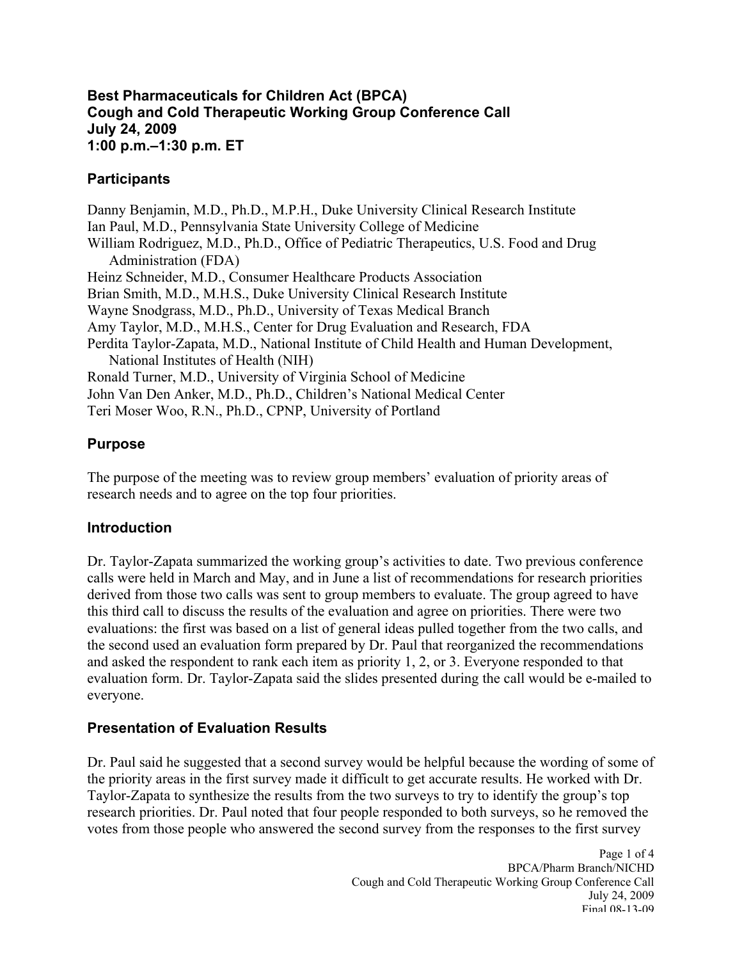#### **1:00 p.m.–1:30 p.m. ET Best Pharmaceuticals for Children Act (BPCA) Cough and Cold Therapeutic Working Group Conference Call July 24, 2009**

#### **Participants**

Danny Benjamin, M.D., Ph.D., M.P.H., Duke University Clinical Research Institute Ian Paul, M.D., Pennsylvania State University College of Medicine William Rodriguez, M.D., Ph.D., Office of Pediatric Therapeutics, U.S. Food and Drug Administration (FDA) Heinz Schneider, M.D., Consumer Healthcare Products Association Brian Smith, M.D., M.H.S., Duke University Clinical Research Institute Wayne Snodgrass, M.D., Ph.D., University of Texas Medical Branch Amy Taylor, M.D., M.H.S., Center for Drug Evaluation and Research, FDA Perdita Taylor-Zapata, M.D., National Institute of Child Health and Human Development, National Institutes of Health (NIH) Ronald Turner, M.D., University of Virginia School of Medicine John Van Den Anker, M.D., Ph.D., Children's National Medical Center Teri Moser Woo, R.N., Ph.D., CPNP, University of Portland

## **Purpose**

The purpose of the meeting was to review group members' evaluation of priority areas of research needs and to agree on the top four priorities.

## **Introduction**

Dr. Taylor-Zapata summarized the working group's activities to date. Two previous conference calls were held in March and May, and in June a list of recommendations for research priorities derived from those two calls was sent to group members to evaluate. The group agreed to have this third call to discuss the results of the evaluation and agree on priorities. There were two evaluations: the first was based on a list of general ideas pulled together from the two calls, and the second used an evaluation form prepared by Dr. Paul that reorganized the recommendations and asked the respondent to rank each item as priority 1, 2, or 3. Everyone responded to that evaluation form. Dr. Taylor-Zapata said the slides presented during the call would be e-mailed to everyone.

# **Presentation of Evaluation Results**

Dr. Paul said he suggested that a second survey would be helpful because the wording of some of the priority areas in the first survey made it difficult to get accurate results. He worked with Dr. Taylor-Zapata to synthesize the results from the two surveys to try to identify the group's top research priorities. Dr. Paul noted that four people responded to both surveys, so he removed the votes from those people who answered the second survey from the responses to the first survey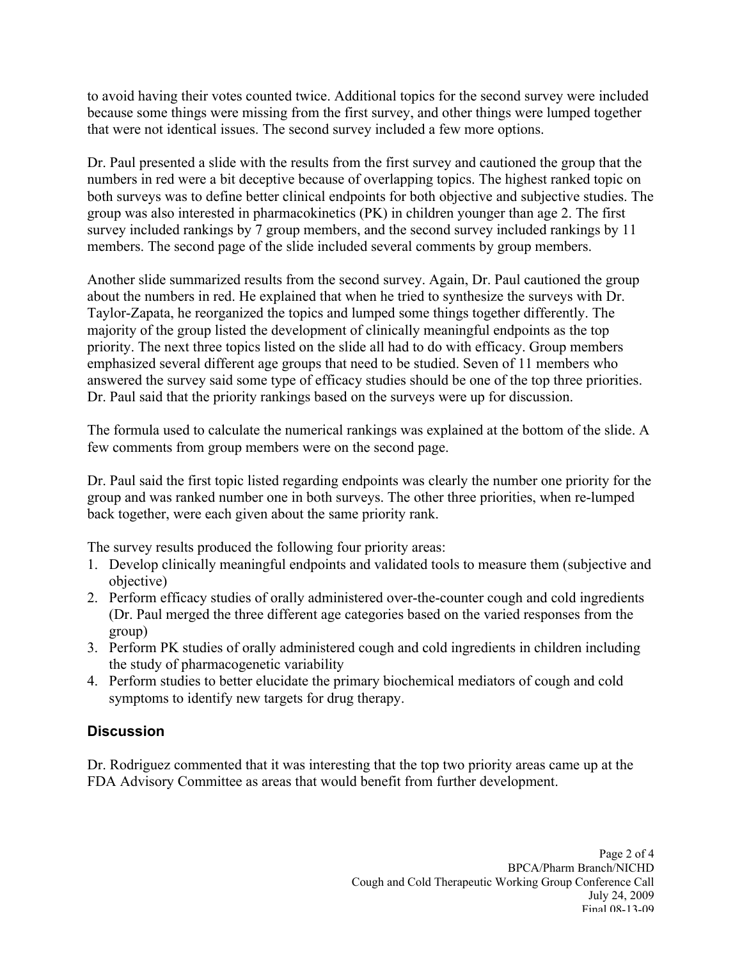to avoid having their votes counted twice. Additional topics for the second survey were included because some things were missing from the first survey, and other things were lumped together that were not identical issues. The second survey included a few more options.

Dr. Paul presented a slide with the results from the first survey and cautioned the group that the numbers in red were a bit deceptive because of overlapping topics. The highest ranked topic on both surveys was to define better clinical endpoints for both objective and subjective studies. The group was also interested in pharmacokinetics (PK) in children younger than age 2. The first survey included rankings by 7 group members, and the second survey included rankings by 11 members. The second page of the slide included several comments by group members.

 Another slide summarized results from the second survey. Again, Dr. Paul cautioned the group emphasized several different age groups that need to be studied. Seven of 11 members who about the numbers in red. He explained that when he tried to synthesize the surveys with Dr. Taylor-Zapata, he reorganized the topics and lumped some things together differently. The majority of the group listed the development of clinically meaningful endpoints as the top priority. The next three topics listed on the slide all had to do with efficacy. Group members answered the survey said some type of efficacy studies should be one of the top three priorities. Dr. Paul said that the priority rankings based on the surveys were up for discussion.

The formula used to calculate the numerical rankings was explained at the bottom of the slide. A few comments from group members were on the second page.

Dr. Paul said the first topic listed regarding endpoints was clearly the number one priority for the group and was ranked number one in both surveys. The other three priorities, when re-lumped back together, were each given about the same priority rank.

The survey results produced the following four priority areas:

- 1. Develop clinically meaningful endpoints and validated tools to measure them (subjective and objective)
- 2. Perform efficacy studies of orally administered over-the-counter cough and cold ingredients (Dr. Paul merged the three different age categories based on the varied responses from the group)
- 3. Perform PK studies of orally administered cough and cold ingredients in children including the study of pharmacogenetic variability
- 4. Perform studies to better elucidate the primary biochemical mediators of cough and cold symptoms to identify new targets for drug therapy.

## **Discussion**

Dr. Rodriguez commented that it was interesting that the top two priority areas came up at the FDA Advisory Committee as areas that would benefit from further development.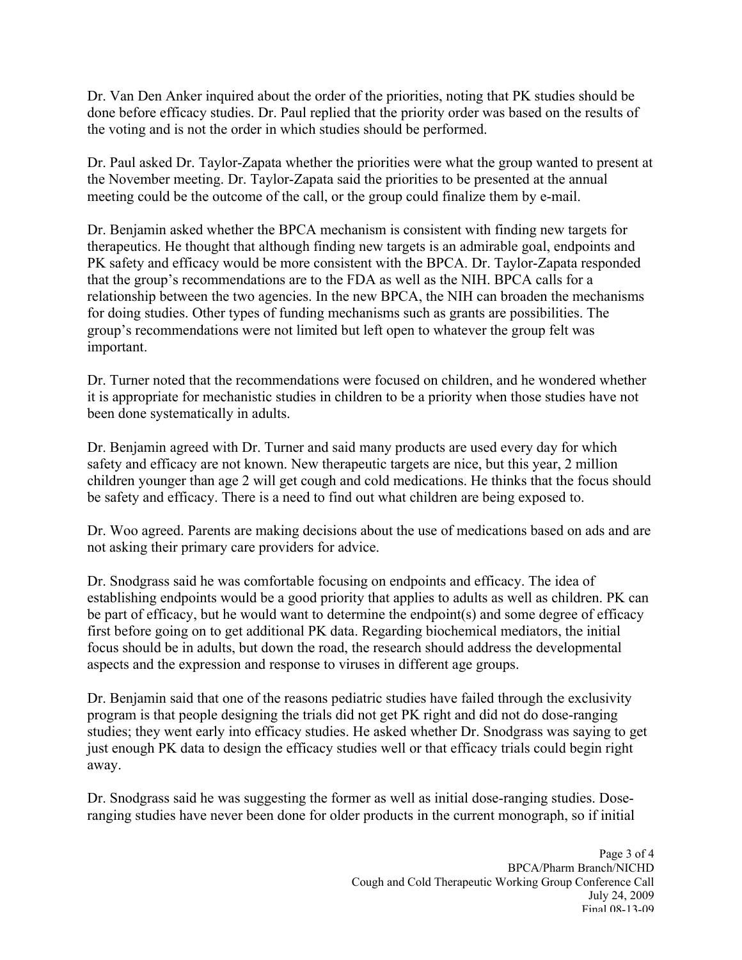done before efficacy studies. Dr. Paul replied that the priority order was based on the results of Dr. Van Den Anker inquired about the order of the priorities, noting that PK studies should be the voting and is not the order in which studies should be performed.

Dr. Paul asked Dr. Taylor-Zapata whether the priorities were what the group wanted to present at the November meeting. Dr. Taylor-Zapata said the priorities to be presented at the annual meeting could be the outcome of the call, or the group could finalize them by e-mail.

Dr. Benjamin asked whether the BPCA mechanism is consistent with finding new targets for therapeutics. He thought that although finding new targets is an admirable goal, endpoints and PK safety and efficacy would be more consistent with the BPCA. Dr. Taylor-Zapata responded that the group's recommendations are to the FDA as well as the NIH. BPCA calls for a relationship between the two agencies. In the new BPCA, the NIH can broaden the mechanisms for doing studies. Other types of funding mechanisms such as grants are possibilities. The group's recommendations were not limited but left open to whatever the group felt was important.

Dr. Turner noted that the recommendations were focused on children, and he wondered whether it is appropriate for mechanistic studies in children to be a priority when those studies have not been done systematically in adults.

Dr. Benjamin agreed with Dr. Turner and said many products are used every day for which safety and efficacy are not known. New therapeutic targets are nice, but this year, 2 million children younger than age 2 will get cough and cold medications. He thinks that the focus should be safety and efficacy. There is a need to find out what children are being exposed to.

Dr. Woo agreed. Parents are making decisions about the use of medications based on ads and are not asking their primary care providers for advice.

Dr. Snodgrass said he was comfortable focusing on endpoints and efficacy. The idea of establishing endpoints would be a good priority that applies to adults as well as children. PK can be part of efficacy, but he would want to determine the endpoint(s) and some degree of efficacy first before going on to get additional PK data. Regarding biochemical mediators, the initial focus should be in adults, but down the road, the research should address the developmental aspects and the expression and response to viruses in different age groups.

away. Dr. Benjamin said that one of the reasons pediatric studies have failed through the exclusivity program is that people designing the trials did not get PK right and did not do dose-ranging studies; they went early into efficacy studies. He asked whether Dr. Snodgrass was saying to get just enough PK data to design the efficacy studies well or that efficacy trials could begin right

Dr. Snodgrass said he was suggesting the former as well as initial dose-ranging studies. Doseranging studies have never been done for older products in the current monograph, so if initial